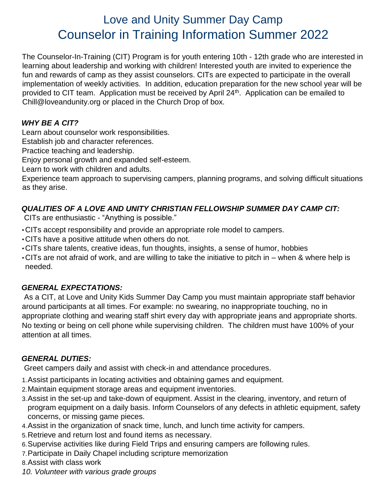# Love and Unity Summer Day Camp Counselor in Training Information Summer 2022

The Counselor-In-Training (CIT) Program is for youth entering 10th - 12th grade who are interested in learning about leadership and working with children! Interested youth are invited to experience the fun and rewards of camp as they assist counselors. CITs are expected to participate in the overall implementation of weekly activities. In addition, education preparation for the new school year will be provided to CIT team. Application must be received by April 24<sup>th</sup>. Application can be emailed to Chill@loveandunity.org or placed in the Church Drop of box.

#### *WHY BE A CIT?*

Learn about counselor work responsibilities.

Establish job and character references.

Practice teaching and leadership.

Enjoy personal growth and expanded self-esteem.

Learn to work with children and adults.

Experience team approach to supervising campers, planning programs, and solving difficult situations as they arise.

#### *QUALITIES OF A LOVE AND UNITY CHRISTIAN FELLOWSHIP SUMMER DAY CAMP CIT:*

CITs are enthusiastic - "Anything is possible."

- •CITs accept responsibility and provide an appropriate role model to campers.
- •CITs have a positive attitude when others do not.
- •CITs share talents, creative ideas, fun thoughts, insights, a sense of humor, hobbies
- •CITs are not afraid of work, and are willing to take the initiative to pitch in when & where help is needed.

#### *GENERAL EXPECTATIONS:*

As a CIT, at Love and Unity Kids Summer Day Camp you must maintain appropriate staff behavior around participants at all times. For example: no swearing, no inappropriate touching, no in appropriate clothing and wearing staff shirt every day with appropriate jeans and appropriate shorts. No texting or being on cell phone while supervising children. The children must have 100% of your attention at all times.

#### *GENERAL DUTIES:*

Greet campers daily and assist with check-in and attendance procedures.

- 1.Assist participants in locating activities and obtaining games and equipment.
- 2.Maintain equipment storage areas and equipment inventories.
- 3.Assist in the set-up and take-down of equipment. Assist in the clearing, inventory, and return of program equipment on a daily basis. Inform Counselors of any defects in athletic equipment, safety concerns, or missing game pieces.
- 4.Assist in the organization of snack time, lunch, and lunch time activity for campers.
- 5.Retrieve and return lost and found items as necessary.
- 6.Supervise activities like during Field Trips and ensuring campers are following rules.
- 7.Participate in Daily Chapel including scripture memorization
- 8.Assist with class work
- *10. Volunteer with various grade groups*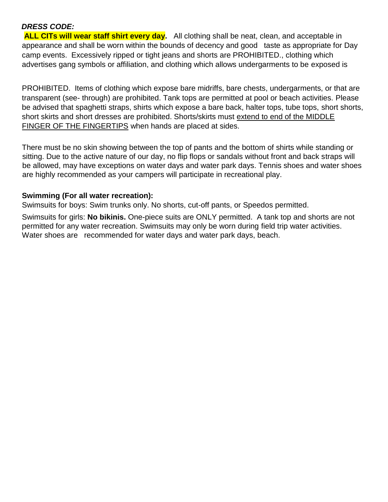#### *DRESS CODE:*

**ALL CITs will wear staff shirt every day.** All clothing shall be neat, clean, and acceptable in appearance and shall be worn within the bounds of decency and good taste as appropriate for Day camp events. Excessively ripped or tight jeans and shorts are PROHIBITED., clothing which advertises gang symbols or affiliation, and clothing which allows undergarments to be exposed is

PROHIBITED. Items of clothing which expose bare midriffs, bare chests, undergarments, or that are transparent (see- through) are prohibited. Tank tops are permitted at pool or beach activities. Please be advised that spaghetti straps, shirts which expose a bare back, halter tops, tube tops, short shorts, short skirts and short dresses are prohibited. Shorts/skirts must extend to end of the MIDDLE FINGER OF THE FINGERTIPS when hands are placed at sides.

There must be no skin showing between the top of pants and the bottom of shirts while standing or sitting. Due to the active nature of our day, no flip flops or sandals without front and back straps will be allowed, may have exceptions on water days and water park days. Tennis shoes and water shoes are highly recommended as your campers will participate in recreational play.

#### **Swimming (For all water recreation):**

Swimsuits for boys: Swim trunks only. No shorts, cut-off pants, or Speedos permitted.

Swimsuits for girls: **No bikinis.** One-piece suits are ONLY permitted. A tank top and shorts are not permitted for any water recreation. Swimsuits may only be worn during field trip water activities. Water shoes are recommended for water days and water park days, beach.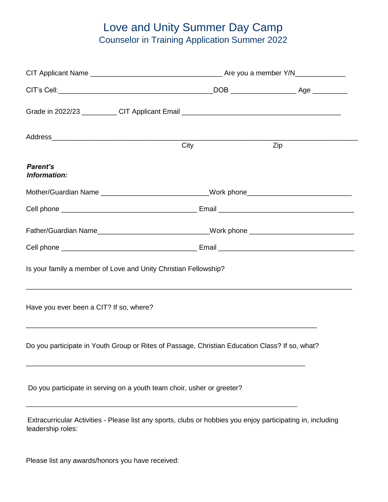## Love and Unity Summer Day Camp Counselor in Training Application Summer 2022

|                                                                                                                                  | City                                                                             | Zip |  |  |  |
|----------------------------------------------------------------------------------------------------------------------------------|----------------------------------------------------------------------------------|-----|--|--|--|
| Parent's<br>Information:                                                                                                         |                                                                                  |     |  |  |  |
| Mother/Guardian Name _____________________________Work phone____________________                                                 |                                                                                  |     |  |  |  |
|                                                                                                                                  |                                                                                  |     |  |  |  |
|                                                                                                                                  | Father/Guardian Name____________________________Work phone _____________________ |     |  |  |  |
|                                                                                                                                  |                                                                                  |     |  |  |  |
| Is your family a member of Love and Unity Christian Fellowship?                                                                  |                                                                                  |     |  |  |  |
| Have you ever been a CIT? If so, where?<br>,我们也不能在这里的人,我们也不能在这里的人,我们也不能在这里的人,我们也不能在这里的人,我们也不能在这里的人,我们也不能在这里的人,我们也不能在这里的人,我们也     |                                                                                  |     |  |  |  |
| Do you participate in Youth Group or Rites of Passage, Christian Education Class? If so, what?                                   |                                                                                  |     |  |  |  |
| Do you participate in serving on a youth team choir, usher or greeter?                                                           |                                                                                  |     |  |  |  |
| Extracurricular Activities - Please list any sports, clubs or hobbies you enjoy participating in, including<br>leadership roles: |                                                                                  |     |  |  |  |

Please list any awards/honors you have received: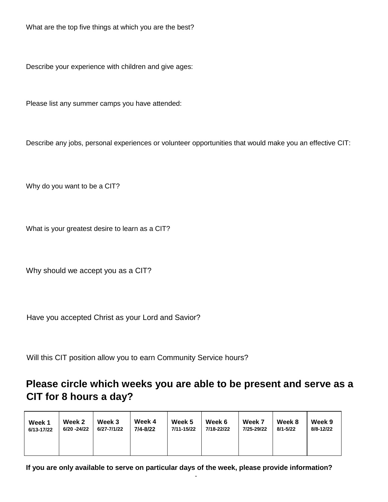What are the top five things at which you are the best?

Describe your experience with children and give ages:

Please list any summer camps you have attended:

Describe any jobs, personal experiences or volunteer opportunities that would make you an effective CIT:

Why do you want to be a CIT?

What is your greatest desire to learn as a CIT?

Why should we accept you as a CIT?

Have you accepted Christ as your Lord and Savior?

Will this CIT position allow you to earn Community Service hours?

### **Please circle which weeks you are able to be present and serve as a CIT for 8 hours a day?**

| Week 1     | Week 2      | Week 3      | Week 4   | Week 5     | Week 6     | Week 7     | Week 8   | Week 9    |
|------------|-------------|-------------|----------|------------|------------|------------|----------|-----------|
| 6/13-17/22 | 6/20 -24/22 | 6/27-7/1/22 | 7/4-8/22 | 7/11-15/22 | 7/18-22/22 | 7/25-29/22 | 8/1-5/22 | 8/8-12/22 |
|            |             |             |          |            |            |            |          |           |

**If you are only available to serve on particular days of the week, please provide information?** 

-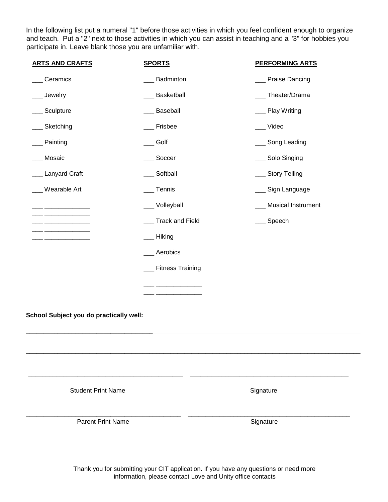In the following list put a numeral "1" before those activities in which you feel confident enough to organize and teach. Put a "2" next to those activities in which you can assist in teaching and a "3" for hobbies you participate in. Leave blank those you are unfamiliar with.

| <b>ARTS AND CRAFTS</b>                  | <b>SPORTS</b>       | <b>PERFORMING ARTS</b> |  |  |
|-----------------------------------------|---------------------|------------------------|--|--|
| Ceramics                                | Badminton           | __ Praise Dancing      |  |  |
| _ Jewelry                               | Basketball          | __ Theater/Drama       |  |  |
| Sculpture                               | Baseball            | __ Play Writing        |  |  |
| _Sketching                              | ___ Frisbee         | __ Video               |  |  |
| Painting                                | __Golf              | __ Song Leading        |  |  |
| _ Mosaic                                | __ Soccer           | ___ Solo Singing       |  |  |
| _Lanyard Craft                          | __ Softball         | ___ Story Telling      |  |  |
| _ Wearable Art                          | __Tennis            | __ Sign Language       |  |  |
|                                         | __ Volleyball       | __ Musical Instrument  |  |  |
|                                         | __ Track and Field  | __ Speech              |  |  |
|                                         | __ Hiking           |                        |  |  |
|                                         | Aerobics            |                        |  |  |
|                                         | __ Fitness Training |                        |  |  |
|                                         |                     |                        |  |  |
|                                         |                     |                        |  |  |
| School Subject you do practically well: |                     |                        |  |  |
|                                         |                     |                        |  |  |
|                                         |                     |                        |  |  |
|                                         |                     |                        |  |  |
|                                         |                     |                        |  |  |
| <b>Student Print Name</b>               |                     | Signature              |  |  |
|                                         |                     |                        |  |  |
| <b>Parent Print Name</b>                |                     | Signature              |  |  |
|                                         |                     |                        |  |  |

Thank you for submitting your CIT application. If you have any questions or need more information, please contact Love and Unity office contacts